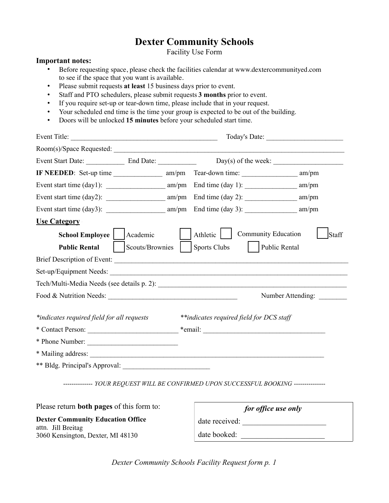# **Dexter Community Schools**

Facility Use Form

### **Important notes:**

- Before requesting space, please check the facilities calendar at www.dextercommunityed.com to see if the space that you want is available.
- Please submit requests **at least** 15 business days prior to event.
- Staff and PTO schedulers, please submit requests **3 months** prior to event.
- If you require set-up or tear-down time, please include that in your request.
- Your scheduled end time is the time your group is expected to be out of the building.
- Doors will be unlocked **15 minutes** before your scheduled start time.

|                                            | Event Title:    |  |                                                                                       |                                     |
|--------------------------------------------|-----------------|--|---------------------------------------------------------------------------------------|-------------------------------------|
|                                            |                 |  |                                                                                       |                                     |
|                                            |                 |  |                                                                                       |                                     |
|                                            |                 |  |                                                                                       |                                     |
|                                            |                 |  |                                                                                       |                                     |
|                                            |                 |  |                                                                                       | am/pm                               |
|                                            |                 |  |                                                                                       |                                     |
| <b>Use Category</b>                        |                 |  |                                                                                       |                                     |
| <b>School Employee</b>                     | Academic        |  | Athletic                                                                              | <b>Community Education</b><br>Staff |
| <b>Public Rental</b>                       | Scouts/Brownies |  | <b>Sports Clubs</b>                                                                   | Public Rental                       |
| Brief Description of Event:                |                 |  |                                                                                       |                                     |
| Set-up/Equipment Needs:                    |                 |  |                                                                                       |                                     |
|                                            |                 |  |                                                                                       |                                     |
|                                            |                 |  |                                                                                       | Number Attending:                   |
| *indicates required field for all requests |                 |  | **indicates required field for DCS staff                                              |                                     |
|                                            |                 |  |                                                                                       |                                     |
| * Phone Number:                            |                 |  |                                                                                       |                                     |
| * Mailing address:                         |                 |  |                                                                                       |                                     |
|                                            |                 |  |                                                                                       |                                     |
|                                            |                 |  | -------------- YOUR REQUEST WILL BE CONFIRMED UPON SUCCESSFUL BOOKING --------------- |                                     |

Please return **both pages** of this form to:

**Dexter Community Education Office**  attn. Jill Breitag 3060 Kensington, Dexter, MI 48130

|                | for office use only |  |
|----------------|---------------------|--|
| date received: |                     |  |
| date booked:   |                     |  |
|                |                     |  |

*Dexter Community Schools Facility Request form p. 1*